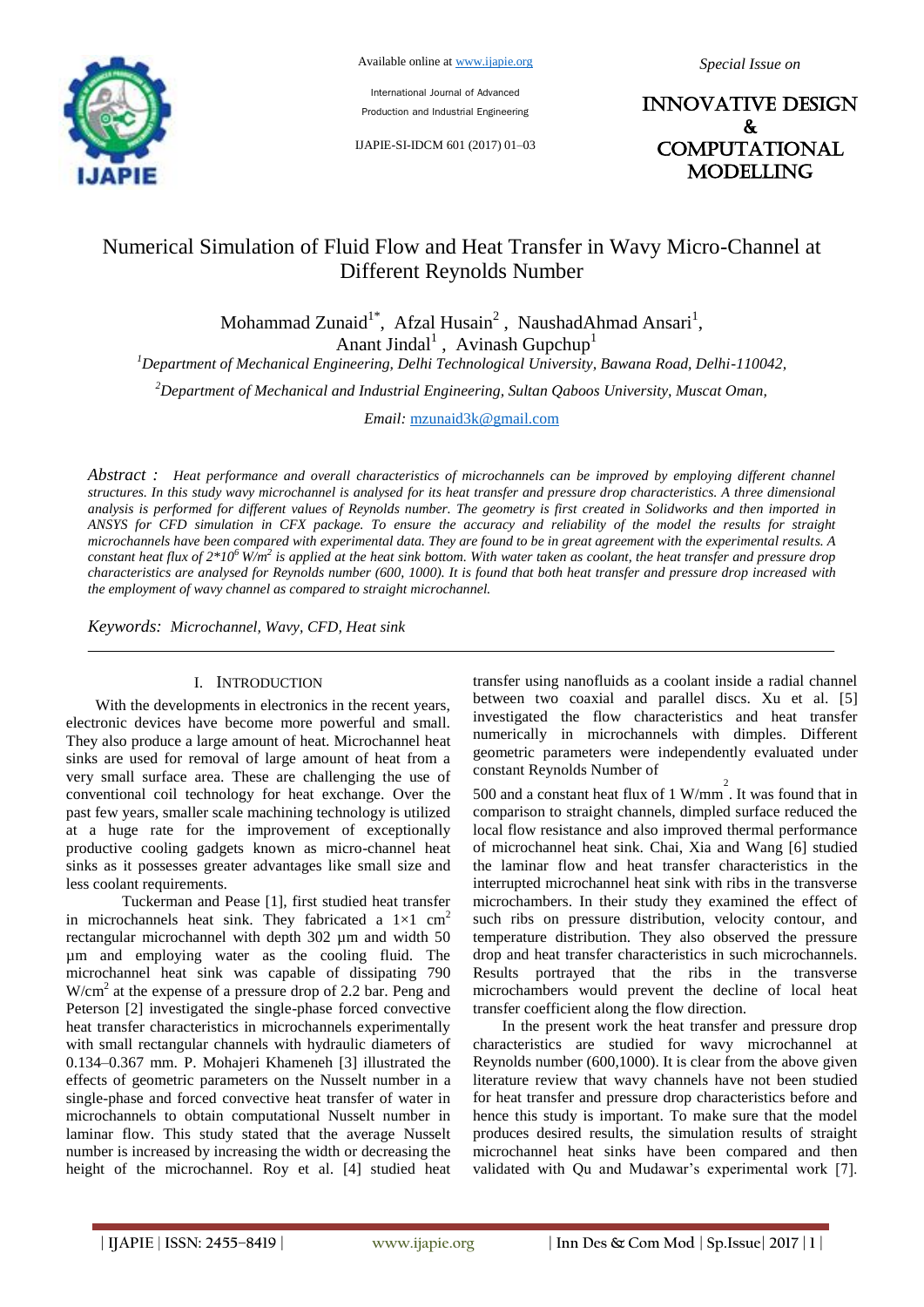

International Journal of Advanced Production and Industrial Engineering

IJAPIE-SI-IDCM 601 (2017) 01–03

INNOVATIVE DESIGN & **COMPUTATIONAL MODELLING** 

# Numerical Simulation of Fluid Flow and Heat Transfer in Wavy Micro-Channel at Different Reynolds Number

Mohammad Zunaid<sup>1\*</sup>, Afzal Husain<sup>2</sup>, NaushadAhmad Ansari<sup>1</sup>, Anant Jindal<sup>1</sup>, Avinash Gupchup<sup>1</sup>

*<sup>1</sup>Department of Mechanical Engineering, Delhi Technological University, Bawana Road, Delhi-110042,*

*<sup>2</sup>Department of Mechanical and Industrial Engineering, Sultan Qaboos University, Muscat Oman,* 

*Email:* mzunaid3k@gmail.com

*Abstract : Heat performance and overall characteristics of microchannels can be improved by employing different channel structures. In this study wavy microchannel is analysed for its heat transfer and pressure drop characteristics. A three dimensional analysis is performed for different values of Reynolds number. The geometry is first created in Solidworks and then imported in ANSYS for CFD simulation in CFX package. To ensure the accuracy and reliability of the model the results for straight microchannels have been compared with experimental data. They are found to be in great agreement with the experimental results. A constant heat flux of 2\*10<sup>6</sup>W/m<sup>2</sup> is applied at the heat sink bottom. With water taken as coolant, the heat transfer and pressure drop characteristics are analysed for Reynolds number (600, 1000). It is found that both heat transfer and pressure drop increased with the employment of wavy channel as compared to straight microchannel.*

*Keywords: Microchannel, Wavy, CFD, Heat sink*

#### I. INTRODUCTION

With the developments in electronics in the recent years, electronic devices have become more powerful and small. They also produce a large amount of heat. Microchannel heat sinks are used for removal of large amount of heat from a very small surface area. These are challenging the use of conventional coil technology for heat exchange. Over the past few years, smaller scale machining technology is utilized at a huge rate for the improvement of exceptionally productive cooling gadgets known as micro-channel heat sinks as it possesses greater advantages like small size and less coolant requirements.

Tuckerman and Pease [1], first studied heat transfer in microchannels heat sink. They fabricated a  $1\times1$  cm<sup>2</sup> rectangular microchannel with depth 302 µm and width 50 µm and employing water as the cooling fluid. The microchannel heat sink was capable of dissipating 790 W/cm<sup>2</sup> at the expense of a pressure drop of 2.2 bar. Peng and Peterson [2] investigated the single-phase forced convective heat transfer characteristics in microchannels experimentally with small rectangular channels with hydraulic diameters of 0.134–0.367 mm. P. Mohajeri Khameneh [3] illustrated the effects of geometric parameters on the Nusselt number in a single-phase and forced convective heat transfer of water in microchannels to obtain computational Nusselt number in laminar flow. This study stated that the average Nusselt number is increased by increasing the width or decreasing the height of the microchannel. Roy et al. [4] studied heat

transfer using nanofluids as a coolant inside a radial channel between two coaxial and parallel discs. Xu et al. [5] investigated the flow characteristics and heat transfer numerically in microchannels with dimples. Different geometric parameters were independently evaluated under constant Reynolds Number of

500 and a constant heat flux of 1 W/mm 2 . It was found that in comparison to straight channels, dimpled surface reduced the local flow resistance and also improved thermal performance of microchannel heat sink. Chai, Xia and Wang [6] studied the laminar flow and heat transfer characteristics in the interrupted microchannel heat sink with ribs in the transverse microchambers. In their study they examined the effect of such ribs on pressure distribution, velocity contour, and temperature distribution. They also observed the pressure drop and heat transfer characteristics in such microchannels. Results portrayed that the ribs in the transverse microchambers would prevent the decline of local heat transfer coefficient along the flow direction.

In the present work the heat transfer and pressure drop characteristics are studied for wavy microchannel at Reynolds number (600,1000). It is clear from the above given literature review that wavy channels have not been studied for heat transfer and pressure drop characteristics before and hence this study is important. To make sure that the model produces desired results, the simulation results of straight microchannel heat sinks have been compared and then validated with Qu and Mudawar's experimental work [7].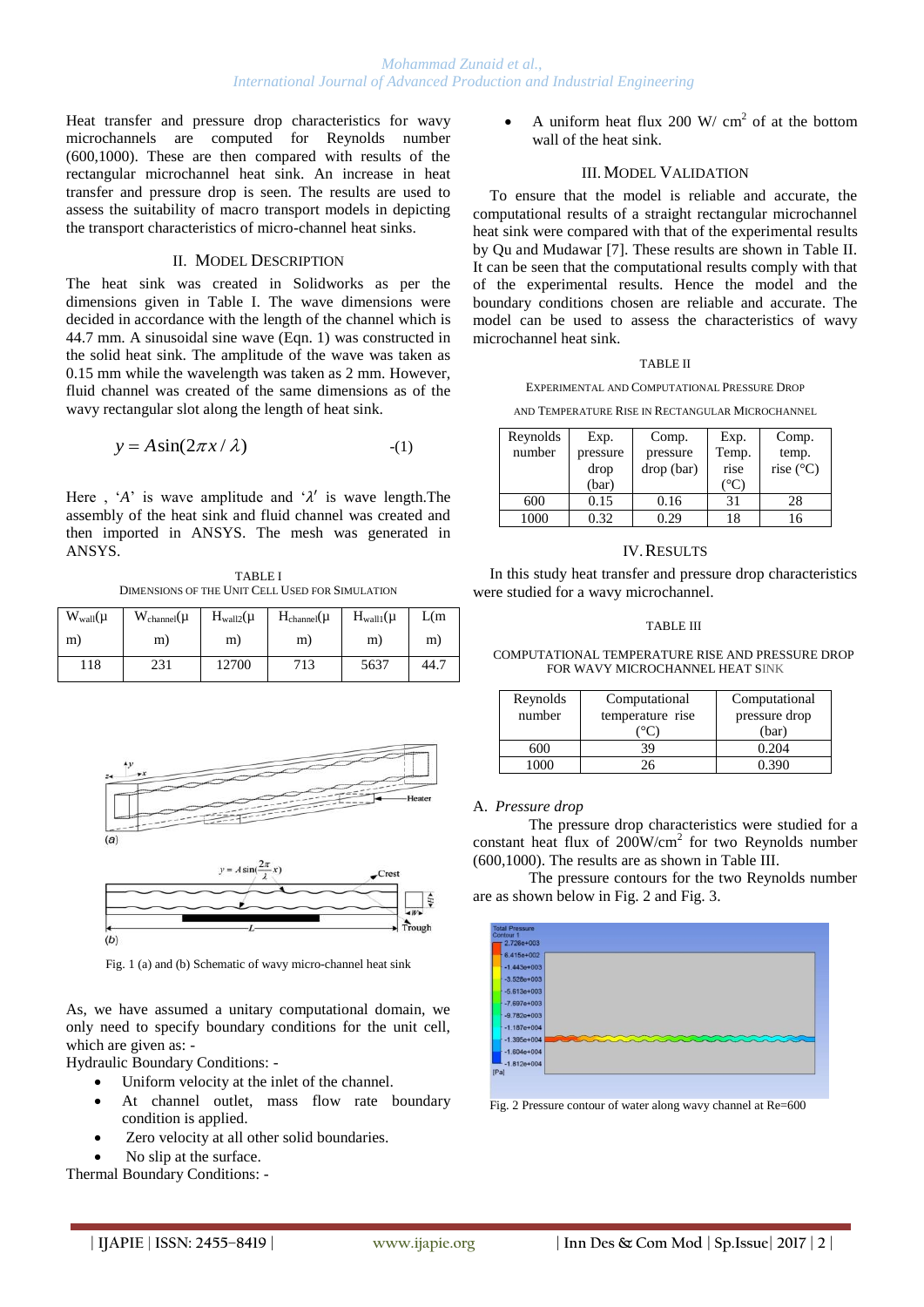Heat transfer and pressure drop characteristics for wavy microchannels are computed for Reynolds number (600,1000). These are then compared with results of the rectangular microchannel heat sink. An increase in heat transfer and pressure drop is seen. The results are used to assess the suitability of macro transport models in depicting the transport characteristics of micro-channel heat sinks.

## II. MODEL DESCRIPTION

The heat sink was created in Solidworks as per the dimensions given in Table I. The wave dimensions were decided in accordance with the length of the channel which is 44.7 mm. A sinusoidal sine wave (Eqn. 1) was constructed in the solid heat sink. The amplitude of the wave was taken as 0.15 mm while the wavelength was taken as 2 mm. However, fluid channel was created of the same dimensions as of the wavy rectangular slot along the length of heat sink.

$$
y = A\sin(2\pi x/\lambda)
$$
 (1)

Here , ' $A$ ' is wave amplitude and ' $\lambda$ ' is wave length. The assembly of the heat sink and fluid channel was created and then imported in ANSYS. The mesh was generated in ANSYS.

TABLE I DIMENSIONS OF THE UNIT CELL USED FOR SIMULATION

| $W_{wall}(\mu)$ | $W_{channel}(\mu)$ | $H_{wall2}(\mu$ | $H_{channel}(\mu)$ | $H_{wall}(\mu)$ | L(m) |
|-----------------|--------------------|-----------------|--------------------|-----------------|------|
| m)              | m)                 | m)              | m)                 | m)              | m)   |
| 118             | 231                | 12700           | 713                | 5637            | 44.7 |



Fig. 1 (a) and (b) Schematic of wavy micro-channel heat sink

As, we have assumed a unitary computational domain, we only need to specify boundary conditions for the unit cell, which are given as: -

Hydraulic Boundary Conditions: -

- Uniform velocity at the inlet of the channel.
- At channel outlet, mass flow rate boundary condition is applied.
- Zero velocity at all other solid boundaries.
- No slip at the surface.

Thermal Boundary Conditions: -

• A uniform heat flux 200 W/  $\text{cm}^2$  of at the bottom wall of the heat sink.

## III. MODEL VALIDATION

To ensure that the model is reliable and accurate, the computational results of a straight rectangular microchannel heat sink were compared with that of the experimental results by Qu and Mudawar [7]. These results are shown in Table II. It can be seen that the computational results comply with that of the experimental results. Hence the model and the boundary conditions chosen are reliable and accurate. The model can be used to assess the characteristics of wavy microchannel heat sink.

#### TABLE II

EXPERIMENTAL AND COMPUTATIONAL PRESSURE DROP

AND TEMPER ATURE RISE IN RECTANGULAR MICROCHANNEL

| Reynolds | Exp.     | Comp.      | Exp.          | Comp.              |
|----------|----------|------------|---------------|--------------------|
| number   | pressure | pressure   | Temp.         | temp.              |
|          | drop     | drop (bar) | rise          | rise $(^{\circ}C)$ |
|          | (bar)    |            | $^{\circ}$ C. |                    |
| 600      | 0.15     | 0.16       | 31            | 28                 |
| 1000     | 0.32     | 0.29       | 18            | 16                 |

## IV.RESULTS

In this study heat transfer and pressure drop characteristics were studied for a wavy microchannel.

#### TABLE III

COMPUTATIONAL TEMPERATURE RISE AND PRESSURE DROP FOR WAVY MICROCHANNEL HEAT SINK

| Reynolds<br>number | Computational<br>temperature rise | Computational<br>pressure drop<br>(bar) |  |
|--------------------|-----------------------------------|-----------------------------------------|--|
|                    |                                   | 0.204                                   |  |
|                    |                                   |                                         |  |

## A. *Pressure drop*

The pressure drop characteristics were studied for a constant heat flux of  $200$ W/cm<sup>2</sup> for two Reynolds number (600,1000). The results are as shown in Table III.

The pressure contours for the two Reynolds number are as shown below in Fig. 2 and Fig. 3.



Fig. 2 Pressure contour of water along wavy channel at Re=600